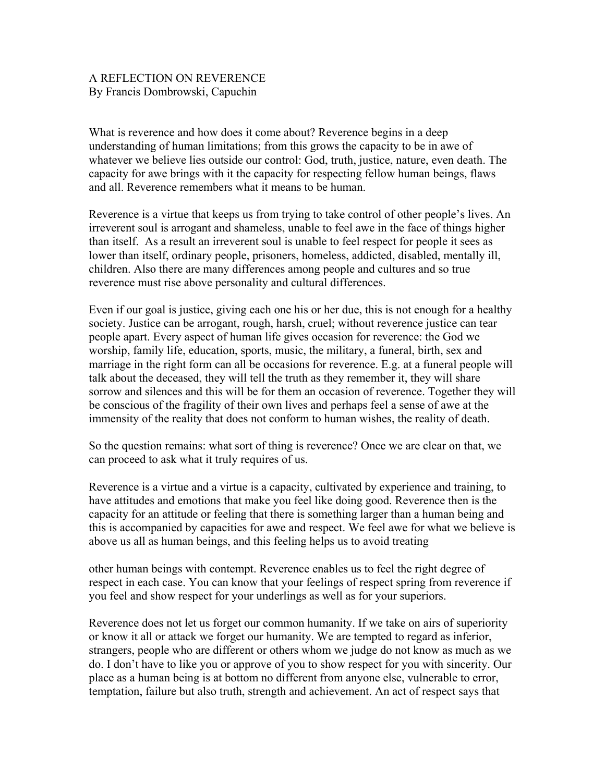## A REFLECTION ON REVERENCE By Francis Dombrowski, Capuchin

What is reverence and how does it come about? Reverence begins in a deep understanding of human limitations; from this grows the capacity to be in awe of whatever we believe lies outside our control: God, truth, justice, nature, even death. The capacity for awe brings with it the capacity for respecting fellow human beings, flaws and all. Reverence remembers what it means to be human.

Reverence is a virtue that keeps us from trying to take control of other people's lives. An irreverent soul is arrogant and shameless, unable to feel awe in the face of things higher than itself. As a result an irreverent soul is unable to feel respect for people it sees as lower than itself, ordinary people, prisoners, homeless, addicted, disabled, mentally ill, children. Also there are many differences among people and cultures and so true reverence must rise above personality and cultural differences.

Even if our goal is justice, giving each one his or her due, this is not enough for a healthy society. Justice can be arrogant, rough, harsh, cruel; without reverence justice can tear people apart. Every aspect of human life gives occasion for reverence: the God we worship, family life, education, sports, music, the military, a funeral, birth, sex and marriage in the right form can all be occasions for reverence. E.g. at a funeral people will talk about the deceased, they will tell the truth as they remember it, they will share sorrow and silences and this will be for them an occasion of reverence. Together they will be conscious of the fragility of their own lives and perhaps feel a sense of awe at the immensity of the reality that does not conform to human wishes, the reality of death.

So the question remains: what sort of thing is reverence? Once we are clear on that, we can proceed to ask what it truly requires of us.

Reverence is a virtue and a virtue is a capacity, cultivated by experience and training, to have attitudes and emotions that make you feel like doing good. Reverence then is the capacity for an attitude or feeling that there is something larger than a human being and this is accompanied by capacities for awe and respect. We feel awe for what we believe is above us all as human beings, and this feeling helps us to avoid treating

other human beings with contempt. Reverence enables us to feel the right degree of respect in each case. You can know that your feelings of respect spring from reverence if you feel and show respect for your underlings as well as for your superiors.

Reverence does not let us forget our common humanity. If we take on airs of superiority or know it all or attack we forget our humanity. We are tempted to regard as inferior, strangers, people who are different or others whom we judge do not know as much as we do. I don't have to like you or approve of you to show respect for you with sincerity. Our place as a human being is at bottom no different from anyone else, vulnerable to error, temptation, failure but also truth, strength and achievement. An act of respect says that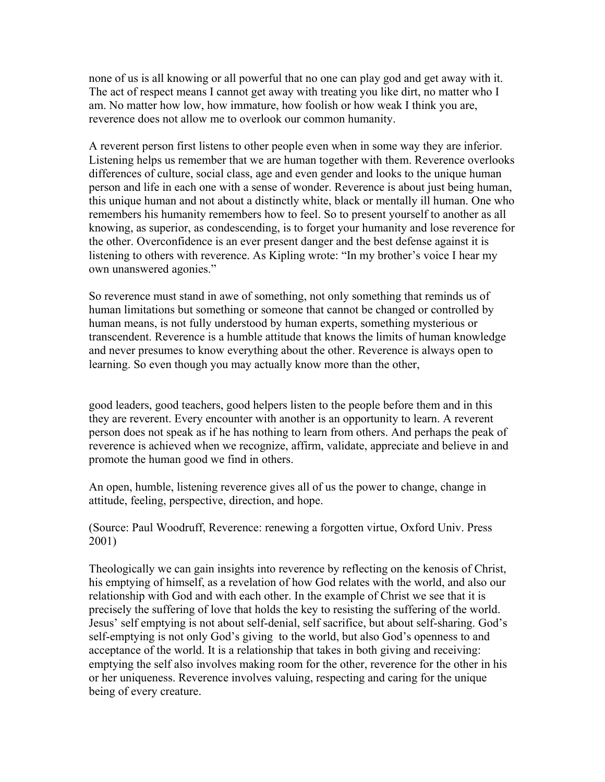none of us is all knowing or all powerful that no one can play god and get away with it. The act of respect means I cannot get away with treating you like dirt, no matter who I am. No matter how low, how immature, how foolish or how weak I think you are, reverence does not allow me to overlook our common humanity.

A reverent person first listens to other people even when in some way they are inferior. Listening helps us remember that we are human together with them. Reverence overlooks differences of culture, social class, age and even gender and looks to the unique human person and life in each one with a sense of wonder. Reverence is about just being human, this unique human and not about a distinctly white, black or mentally ill human. One who remembers his humanity remembers how to feel. So to present yourself to another as all knowing, as superior, as condescending, is to forget your humanity and lose reverence for the other. Overconfidence is an ever present danger and the best defense against it is listening to others with reverence. As Kipling wrote: "In my brother's voice I hear my own unanswered agonies."

So reverence must stand in awe of something, not only something that reminds us of human limitations but something or someone that cannot be changed or controlled by human means, is not fully understood by human experts, something mysterious or transcendent. Reverence is a humble attitude that knows the limits of human knowledge and never presumes to know everything about the other. Reverence is always open to learning. So even though you may actually know more than the other,

good leaders, good teachers, good helpers listen to the people before them and in this they are reverent. Every encounter with another is an opportunity to learn. A reverent person does not speak as if he has nothing to learn from others. And perhaps the peak of reverence is achieved when we recognize, affirm, validate, appreciate and believe in and promote the human good we find in others.

An open, humble, listening reverence gives all of us the power to change, change in attitude, feeling, perspective, direction, and hope.

(Source: Paul Woodruff, Reverence: renewing a forgotten virtue, Oxford Univ. Press 2001)

Theologically we can gain insights into reverence by reflecting on the kenosis of Christ, his emptying of himself, as a revelation of how God relates with the world, and also our relationship with God and with each other. In the example of Christ we see that it is precisely the suffering of love that holds the key to resisting the suffering of the world. Jesus' self emptying is not about self-denial, self sacrifice, but about self-sharing. God's self-emptying is not only God's giving to the world, but also God's openness to and acceptance of the world. It is a relationship that takes in both giving and receiving: emptying the self also involves making room for the other, reverence for the other in his or her uniqueness. Reverence involves valuing, respecting and caring for the unique being of every creature.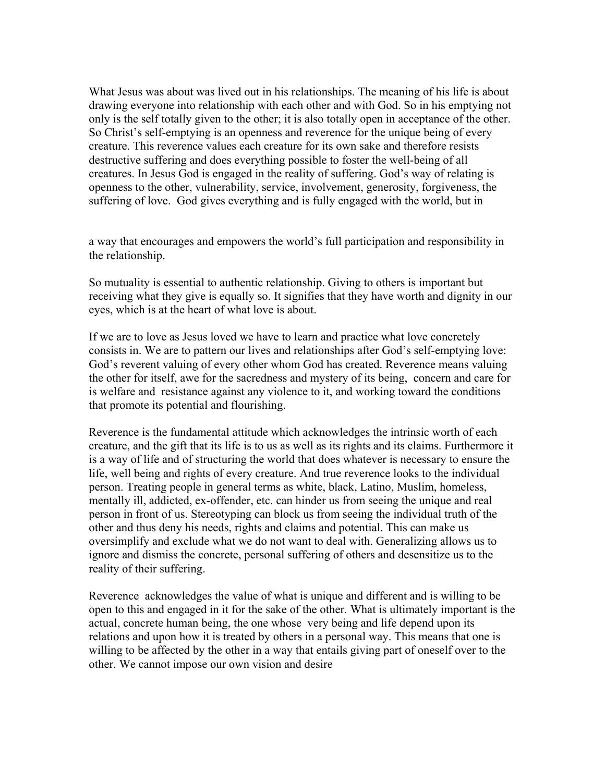What Jesus was about was lived out in his relationships. The meaning of his life is about drawing everyone into relationship with each other and with God. So in his emptying not only is the self totally given to the other; it is also totally open in acceptance of the other. So Christ's self-emptying is an openness and reverence for the unique being of every creature. This reverence values each creature for its own sake and therefore resists destructive suffering and does everything possible to foster the well-being of all creatures. In Jesus God is engaged in the reality of suffering. God's way of relating is openness to the other, vulnerability, service, involvement, generosity, forgiveness, the suffering of love. God gives everything and is fully engaged with the world, but in

a way that encourages and empowers the world's full participation and responsibility in the relationship.

So mutuality is essential to authentic relationship. Giving to others is important but receiving what they give is equally so. It signifies that they have worth and dignity in our eyes, which is at the heart of what love is about.

If we are to love as Jesus loved we have to learn and practice what love concretely consists in. We are to pattern our lives and relationships after God's self-emptying love: God's reverent valuing of every other whom God has created. Reverence means valuing the other for itself, awe for the sacredness and mystery of its being, concern and care for is welfare and resistance against any violence to it, and working toward the conditions that promote its potential and flourishing.

Reverence is the fundamental attitude which acknowledges the intrinsic worth of each creature, and the gift that its life is to us as well as its rights and its claims. Furthermore it is a way of life and of structuring the world that does whatever is necessary to ensure the life, well being and rights of every creature. And true reverence looks to the individual person. Treating people in general terms as white, black, Latino, Muslim, homeless, mentally ill, addicted, ex-offender, etc. can hinder us from seeing the unique and real person in front of us. Stereotyping can block us from seeing the individual truth of the other and thus deny his needs, rights and claims and potential. This can make us oversimplify and exclude what we do not want to deal with. Generalizing allows us to ignore and dismiss the concrete, personal suffering of others and desensitize us to the reality of their suffering.

Reverence acknowledges the value of what is unique and different and is willing to be open to this and engaged in it for the sake of the other. What is ultimately important is the actual, concrete human being, the one whose very being and life depend upon its relations and upon how it is treated by others in a personal way. This means that one is willing to be affected by the other in a way that entails giving part of oneself over to the other. We cannot impose our own vision and desire